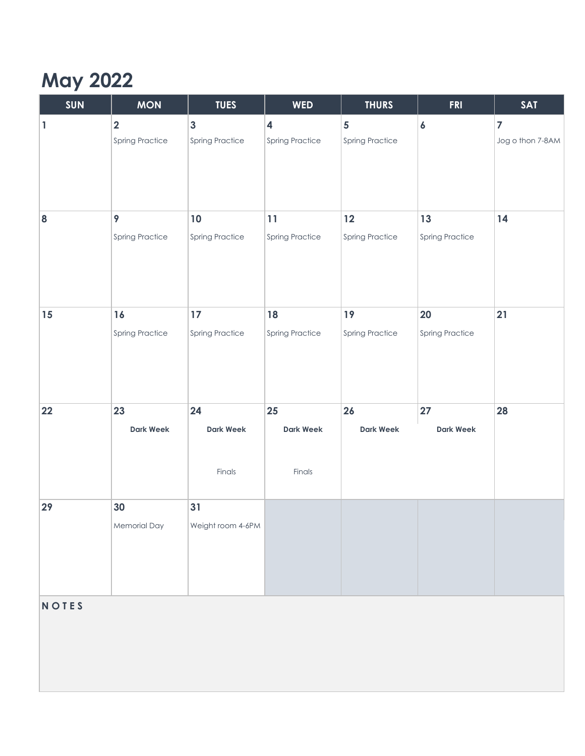## **May 2022**

| $\overline{\mathbf{2}}$<br>$\mathbf{3}$<br>4<br>5<br>$\vert$ 1<br>$\boldsymbol{6}$<br>$\overline{7}$<br><b>Spring Practice</b><br><b>Spring Practice</b><br><b>Spring Practice</b><br><b>Spring Practice</b><br>9<br>13<br>14<br>10<br>11<br>12<br>$\bf{8}$<br><b>Spring Practice</b><br><b>Spring Practice</b><br><b>Spring Practice</b><br><b>Spring Practice</b><br><b>Spring Practice</b><br>19<br>21<br>16<br>17<br>20<br>15<br>18<br><b>Spring Practice</b><br><b>Spring Practice</b><br><b>Spring Practice</b><br><b>Spring Practice</b><br><b>Spring Practice</b><br>22<br>23<br>24<br>25<br>26<br>27<br>28<br><b>Dark Week</b><br><b>Dark Week</b><br><b>Dark Week</b><br><b>Dark Week</b><br><b>Dark Week</b><br>Finals<br>Finals<br>30<br>31<br>29<br>Weight room 4-6PM<br>Memorial Day | <b>SUN</b> | <b>MON</b> | <b>TUES</b> | <b>WED</b> | <b>THURS</b> | <b>FRI</b> | <b>SAT</b>       |
|----------------------------------------------------------------------------------------------------------------------------------------------------------------------------------------------------------------------------------------------------------------------------------------------------------------------------------------------------------------------------------------------------------------------------------------------------------------------------------------------------------------------------------------------------------------------------------------------------------------------------------------------------------------------------------------------------------------------------------------------------------------------------------------------------|------------|------------|-------------|------------|--------------|------------|------------------|
|                                                                                                                                                                                                                                                                                                                                                                                                                                                                                                                                                                                                                                                                                                                                                                                                    |            |            |             |            |              |            | Jog o thon 7-8AM |
|                                                                                                                                                                                                                                                                                                                                                                                                                                                                                                                                                                                                                                                                                                                                                                                                    |            |            |             |            |              |            |                  |
|                                                                                                                                                                                                                                                                                                                                                                                                                                                                                                                                                                                                                                                                                                                                                                                                    |            |            |             |            |              |            |                  |
|                                                                                                                                                                                                                                                                                                                                                                                                                                                                                                                                                                                                                                                                                                                                                                                                    |            |            |             |            |              |            |                  |
| <b>NOTES</b>                                                                                                                                                                                                                                                                                                                                                                                                                                                                                                                                                                                                                                                                                                                                                                                       |            |            |             |            |              |            |                  |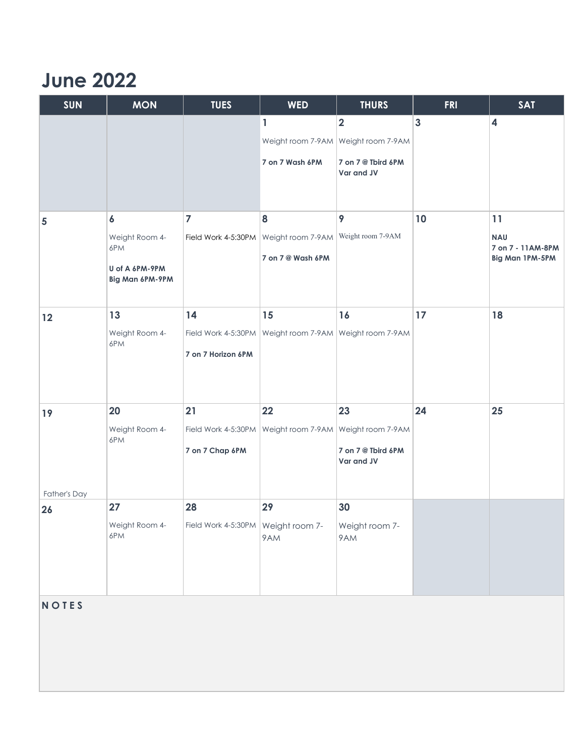## **June 2022**

| <b>SUN</b>     | <b>MON</b>                        | <b>TUES</b>                                              | <b>WED</b>                          | <b>THURS</b>                     | <b>FRI</b>     | <b>SAT</b>                      |
|----------------|-----------------------------------|----------------------------------------------------------|-------------------------------------|----------------------------------|----------------|---------------------------------|
|                |                                   |                                                          | $\mathbf{1}$                        | $\overline{\mathbf{2}}$          | $\overline{3}$ | $\overline{\mathbf{4}}$         |
|                |                                   |                                                          | Weight room 7-9AM Weight room 7-9AM |                                  |                |                                 |
|                |                                   |                                                          | 7 on 7 Wash 6PM                     | 7 on 7 @ Tbird 6PM<br>Var and JV |                |                                 |
|                |                                   |                                                          |                                     |                                  |                |                                 |
| $\overline{5}$ | $\boldsymbol{6}$                  | $\overline{7}$                                           | 8                                   | 9                                | 10             | 11                              |
|                | Weight Room 4-<br>6PM             | Field Work 4-5:30PM                                      | Weight room 7-9AM                   | Weight room 7-9AM                |                | <b>NAU</b><br>7 on 7 - 11AM-8PM |
|                |                                   |                                                          | 7 on 7 @ Wash 6PM                   |                                  |                | Big Man 1PM-5PM                 |
|                | U of A 6PM-9PM<br>Big Man 6PM-9PM |                                                          |                                     |                                  |                |                                 |
| 12             | 13                                | 14                                                       | 15                                  | 16                               | 17             | 18                              |
|                | Weight Room 4-<br>6PM             | Field Work 4-5:30PM                                      | Weight room 7-9AM Weight room 7-9AM |                                  |                |                                 |
|                |                                   | 7 on 7 Horizon 6PM                                       |                                     |                                  |                |                                 |
| 19             | 20                                | 21                                                       | 22                                  | 23                               | 24             | 25                              |
|                | Weight Room 4-<br>6PM             | Field Work 4-5:30PM                                      | Weight room 7-9AM Weight room 7-9AM |                                  |                |                                 |
|                |                                   | 7 on 7 Chap 6PM                                          |                                     | 7 on 7 @ Tbird 6PM<br>Var and JV |                |                                 |
| Father's Day   |                                   |                                                          |                                     |                                  |                |                                 |
| 26             | 27                                | 28                                                       | 29                                  | 30                               |                |                                 |
|                | Weight Room 4-<br>6PM             | Field Work 4-5:30PM $\sqrt{\frac{1}{10}}$ Weight room 7- | 9AM                                 | Weight room 7-<br>9AM            |                |                                 |
|                |                                   |                                                          |                                     |                                  |                |                                 |

**N O T E S**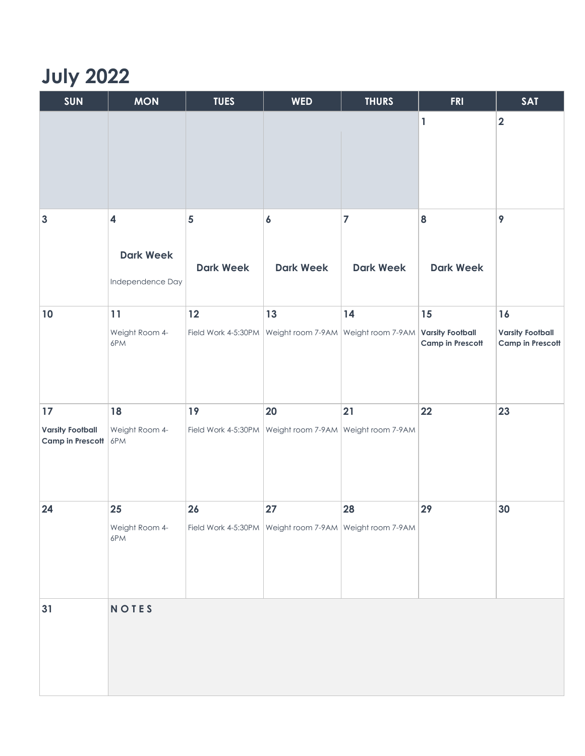## **July 2022**

| <b>SUN</b>                                        | <b>MON</b>                                                      | <b>TUES</b>                                 | <b>WED</b>                                                        | <b>THURS</b>                       | <b>FRI</b>                                               | <b>SAT</b>                                               |
|---------------------------------------------------|-----------------------------------------------------------------|---------------------------------------------|-------------------------------------------------------------------|------------------------------------|----------------------------------------------------------|----------------------------------------------------------|
|                                                   |                                                                 |                                             |                                                                   |                                    | $\mathbf{1}$                                             | $\overline{\mathbf{2}}$                                  |
| $\mathbf{3}$                                      | $\overline{\mathbf{4}}$<br><b>Dark Week</b><br>Independence Day | $\overline{\mathbf{5}}$<br><b>Dark Week</b> | $\boldsymbol{6}$<br><b>Dark Week</b>                              | $\overline{7}$<br><b>Dark Week</b> | 8<br><b>Dark Week</b>                                    | 9                                                        |
| 10                                                | 11<br>Weight Room 4-<br>6PM                                     | 12                                          | 13<br>Field Work 4-5:30PM Weight room 7-9AM Weight room 7-9AM     | 14                                 | 15<br><b>Varsity Football</b><br><b>Camp in Prescott</b> | 16<br><b>Varsity Football</b><br><b>Camp in Prescott</b> |
| 17<br><b>Varsity Football</b><br>Camp in Prescott | 18<br>Weight Room 4-<br>6PM                                     | 19                                          | 20<br>Field Work 4-5:30PM   Weight room 7-9AM   Weight room 7-9AM | 21                                 | 22                                                       | 23                                                       |
| 24                                                | 25<br>Weight Room 4-<br>6PM                                     | 26                                          | 27<br>Field Work 4-5:30PM Weight room 7-9AM Weight room 7-9AM     | 28                                 | 29                                                       | 30                                                       |
| 31                                                | <b>NOTES</b>                                                    |                                             |                                                                   |                                    |                                                          |                                                          |